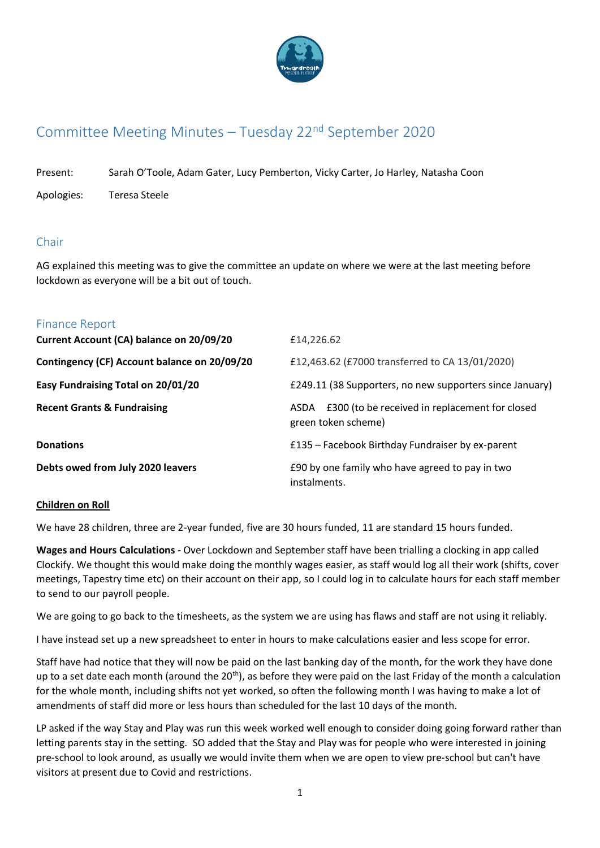

# Committee Meeting Minutes – Tuesday 22nd September 2020

Present: Sarah O'Toole, Adam Gater, Lucy Pemberton, Vicky Carter, Jo Harley, Natasha Coon

Apologies: Teresa Steele

# Chair

AG explained this meeting was to give the committee an update on where we were at the last meeting before lockdown as everyone will be a bit out of touch.

| <b>Finance Report</b>                        |                                                                            |
|----------------------------------------------|----------------------------------------------------------------------------|
| Current Account (CA) balance on 20/09/20     | £14,226.62                                                                 |
| Contingency (CF) Account balance on 20/09/20 | £12,463.62 (£7000 transferred to CA 13/01/2020)                            |
| Easy Fundraising Total on 20/01/20           | £249.11 (38 Supporters, no new supporters since January)                   |
| <b>Recent Grants &amp; Fundraising</b>       | ASDA £300 (to be received in replacement for closed<br>green token scheme) |
| <b>Donations</b>                             | £135 - Facebook Birthday Fundraiser by ex-parent                           |
| Debts owed from July 2020 leavers            | £90 by one family who have agreed to pay in two<br>instalments.            |

#### **Children on Roll**

We have 28 children, three are 2-year funded, five are 30 hours funded, 11 are standard 15 hours funded.

**Wages and Hours Calculations -** Over Lockdown and September staff have been trialling a clocking in app called Clockify. We thought this would make doing the monthly wages easier, as staff would log all their work (shifts, cover meetings, Tapestry time etc) on their account on their app, so I could log in to calculate hours for each staff member to send to our payroll people.

We are going to go back to the timesheets, as the system we are using has flaws and staff are not using it reliably.

I have instead set up a new spreadsheet to enter in hours to make calculations easier and less scope for error.

Staff have had notice that they will now be paid on the last banking day of the month, for the work they have done up to a set date each month (around the  $20<sup>th</sup>$ ), as before they were paid on the last Friday of the month a calculation for the whole month, including shifts not yet worked, so often the following month I was having to make a lot of amendments of staff did more or less hours than scheduled for the last 10 days of the month.

LP asked if the way Stay and Play was run this week worked well enough to consider doing going forward rather than letting parents stay in the setting. SO added that the Stay and Play was for people who were interested in joining pre-school to look around, as usually we would invite them when we are open to view pre-school but can't have visitors at present due to Covid and restrictions.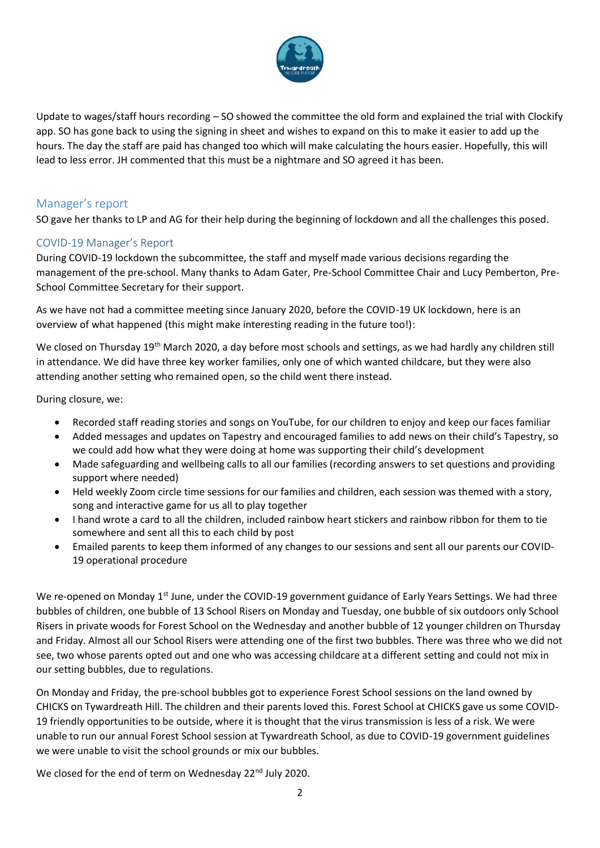

Update to wages/staff hours recording – SO showed the committee the old form and explained the trial with Clockify app. SO has gone back to using the signing in sheet and wishes to expand on this to make it easier to add up the hours. The day the staff are paid has changed too which will make calculating the hours easier. Hopefully, this will lead to less error. JH commented that this must be a nightmare and SO agreed it has been.

# Manager's report

SO gave her thanks to LP and AG for their help during the beginning of lockdown and all the challenges this posed.

#### COVID-19 Manager's Report

During COVID-19 lockdown the subcommittee, the staff and myself made various decisions regarding the management of the pre-school. Many thanks to Adam Gater, Pre-School Committee Chair and Lucy Pemberton, Pre-School Committee Secretary for their support.

As we have not had a committee meeting since January 2020, before the COVID-19 UK lockdown, here is an overview of what happened (this might make interesting reading in the future too!):

We closed on Thursday 19<sup>th</sup> March 2020, a day before most schools and settings, as we had hardly any children still in attendance. We did have three key worker families, only one of which wanted childcare, but they were also attending another setting who remained open, so the child went there instead.

During closure, we:

- Recorded staff reading stories and songs on YouTube, for our children to enjoy and keep our faces familiar
- Added messages and updates on Tapestry and encouraged families to add news on their child's Tapestry, so we could add how what they were doing at home was supporting their child's development
- Made safeguarding and wellbeing calls to all our families (recording answers to set questions and providing support where needed)
- Held weekly Zoom circle time sessions for our families and children, each session was themed with a story, song and interactive game for us all to play together
- I hand wrote a card to all the children, included rainbow heart stickers and rainbow ribbon for them to tie somewhere and sent all this to each child by post
- Emailed parents to keep them informed of any changes to our sessions and sent all our parents our COVID-19 operational procedure

We re-opened on Monday 1<sup>st</sup> June, under the COVID-19 government guidance of Early Years Settings. We had three bubbles of children, one bubble of 13 School Risers on Monday and Tuesday, one bubble of six outdoors only School Risers in private woods for Forest School on the Wednesday and another bubble of 12 younger children on Thursday and Friday. Almost all our School Risers were attending one of the first two bubbles. There was three who we did not see, two whose parents opted out and one who was accessing childcare at a different setting and could not mix in our setting bubbles, due to regulations.

On Monday and Friday, the pre-school bubbles got to experience Forest School sessions on the land owned by CHICKS on Tywardreath Hill. The children and their parents loved this. Forest School at CHICKS gave us some COVID-19 friendly opportunities to be outside, where it is thought that the virus transmission is less of a risk. We were unable to run our annual Forest School session at Tywardreath School, as due to COVID-19 government guidelines we were unable to visit the school grounds or mix our bubbles.

We closed for the end of term on Wednesday 22<sup>nd</sup> July 2020.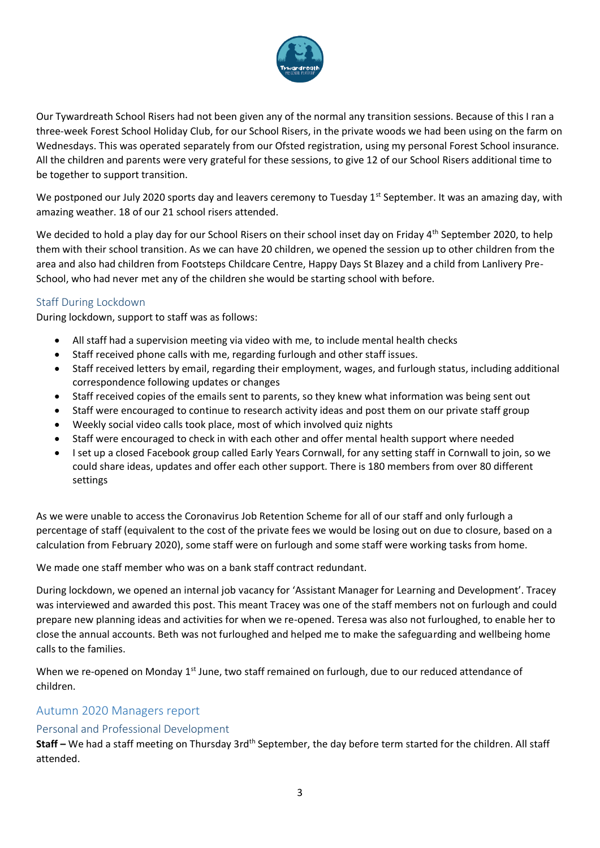

Our Tywardreath School Risers had not been given any of the normal any transition sessions. Because of this I ran a three-week Forest School Holiday Club, for our School Risers, in the private woods we had been using on the farm on Wednesdays. This was operated separately from our Ofsted registration, using my personal Forest School insurance. All the children and parents were very grateful for these sessions, to give 12 of our School Risers additional time to be together to support transition.

We postponed our July 2020 sports day and leavers ceremony to Tuesday 1<sup>st</sup> September. It was an amazing day, with amazing weather. 18 of our 21 school risers attended.

We decided to hold a play day for our School Risers on their school inset day on Friday 4<sup>th</sup> September 2020, to help them with their school transition. As we can have 20 children, we opened the session up to other children from the area and also had children from Footsteps Childcare Centre, Happy Days St Blazey and a child from Lanlivery Pre-School, who had never met any of the children she would be starting school with before.

### Staff During Lockdown

During lockdown, support to staff was as follows:

- All staff had a supervision meeting via video with me, to include mental health checks
- Staff received phone calls with me, regarding furlough and other staff issues.
- Staff received letters by email, regarding their employment, wages, and furlough status, including additional correspondence following updates or changes
- Staff received copies of the emails sent to parents, so they knew what information was being sent out
- Staff were encouraged to continue to research activity ideas and post them on our private staff group
- Weekly social video calls took place, most of which involved quiz nights
- Staff were encouraged to check in with each other and offer mental health support where needed
- I set up a closed Facebook group called Early Years Cornwall, for any setting staff in Cornwall to join, so we could share ideas, updates and offer each other support. There is 180 members from over 80 different settings

As we were unable to access the Coronavirus Job Retention Scheme for all of our staff and only furlough a percentage of staff (equivalent to the cost of the private fees we would be losing out on due to closure, based on a calculation from February 2020), some staff were on furlough and some staff were working tasks from home.

We made one staff member who was on a bank staff contract redundant.

During lockdown, we opened an internal job vacancy for 'Assistant Manager for Learning and Development'. Tracey was interviewed and awarded this post. This meant Tracey was one of the staff members not on furlough and could prepare new planning ideas and activities for when we re-opened. Teresa was also not furloughed, to enable her to close the annual accounts. Beth was not furloughed and helped me to make the safeguarding and wellbeing home calls to the families.

When we re-opened on Monday 1<sup>st</sup> June, two staff remained on furlough, due to our reduced attendance of children.

# Autumn 2020 Managers report

#### Personal and Professional Development

Staff – We had a staff meeting on Thursday 3rd<sup>th</sup> September, the day before term started for the children. All staff attended.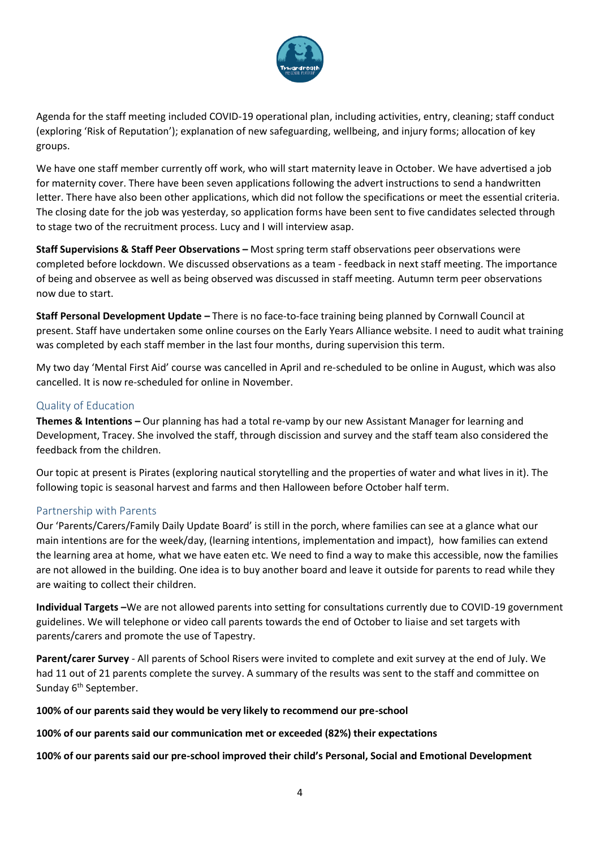

Agenda for the staff meeting included COVID-19 operational plan, including activities, entry, cleaning; staff conduct (exploring 'Risk of Reputation'); explanation of new safeguarding, wellbeing, and injury forms; allocation of key groups.

We have one staff member currently off work, who will start maternity leave in October. We have advertised a job for maternity cover. There have been seven applications following the advert instructions to send a handwritten letter. There have also been other applications, which did not follow the specifications or meet the essential criteria. The closing date for the job was yesterday, so application forms have been sent to five candidates selected through to stage two of the recruitment process. Lucy and I will interview asap.

**Staff Supervisions & Staff Peer Observations – Most spring term staff observations peer observations were** completed before lockdown. We discussed observations as a team - feedback in next staff meeting. The importance of being and observee as well as being observed was discussed in staff meeting. Autumn term peer observations now due to start.

**Staff Personal Development Update –** There is no face-to-face training being planned by Cornwall Council at present. Staff have undertaken some online courses on the Early Years Alliance website. I need to audit what training was completed by each staff member in the last four months, during supervision this term.

My two day 'Mental First Aid' course was cancelled in April and re-scheduled to be online in August, which was also cancelled. It is now re-scheduled for online in November.

### Quality of Education

**Themes & Intentions –** Our planning has had a total re-vamp by our new Assistant Manager for learning and Development, Tracey. She involved the staff, through discission and survey and the staff team also considered the feedback from the children.

Our topic at present is Pirates (exploring nautical storytelling and the properties of water and what lives in it). The following topic is seasonal harvest and farms and then Halloween before October half term.

#### Partnership with Parents

Our 'Parents/Carers/Family Daily Update Board' is still in the porch, where families can see at a glance what our main intentions are for the week/day, (learning intentions, implementation and impact), how families can extend the learning area at home, what we have eaten etc. We need to find a way to make this accessible, now the families are not allowed in the building. One idea is to buy another board and leave it outside for parents to read while they are waiting to collect their children.

**Individual Targets –**We are not allowed parents into setting for consultations currently due to COVID-19 government guidelines. We will telephone or video call parents towards the end of October to liaise and set targets with parents/carers and promote the use of Tapestry.

**Parent/carer Survey** - All parents of School Risers were invited to complete and exit survey at the end of July. We had 11 out of 21 parents complete the survey. A summary of the results was sent to the staff and committee on Sunday 6<sup>th</sup> September.

#### **100% of our parents said they would be very likely to recommend our pre-school**

**100% of our parents said our communication met or exceeded (82%) their expectations**

**100% of our parents said our pre-school improved their child's Personal, Social and Emotional Development**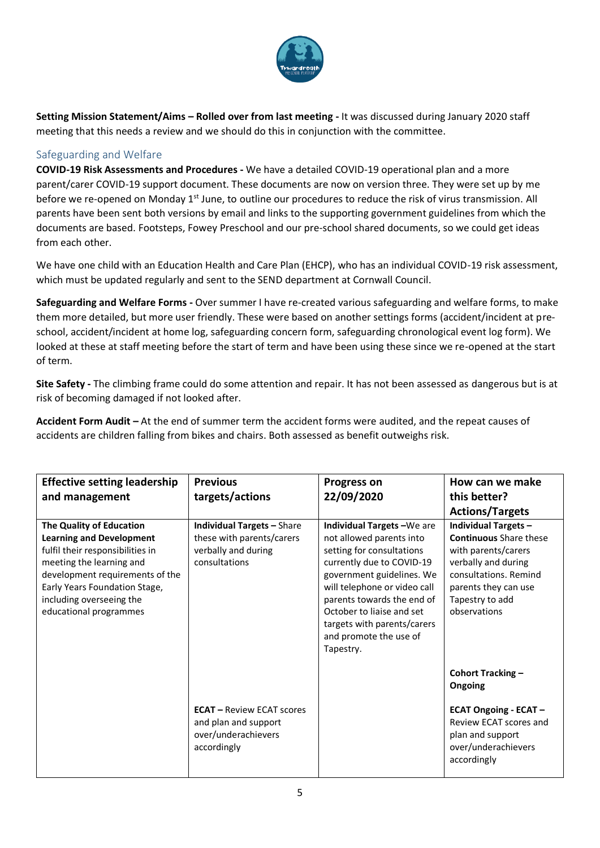

**Setting Mission Statement/Aims – Rolled over from last meeting -** It was discussed during January 2020 staff meeting that this needs a review and we should do this in conjunction with the committee.

# Safeguarding and Welfare

**COVID-19 Risk Assessments and Procedures -** We have a detailed COVID-19 operational plan and a more parent/carer COVID-19 support document. These documents are now on version three. They were set up by me before we re-opened on Monday 1<sup>st</sup> June, to outline our procedures to reduce the risk of virus transmission. All parents have been sent both versions by email and links to the supporting government guidelines from which the documents are based. Footsteps, Fowey Preschool and our pre-school shared documents, so we could get ideas from each other.

We have one child with an Education Health and Care Plan (EHCP), who has an individual COVID-19 risk assessment, which must be updated regularly and sent to the SEND department at Cornwall Council.

**Safeguarding and Welfare Forms -** Over summer I have re-created various safeguarding and welfare forms, to make them more detailed, but more user friendly. These were based on another settings forms (accident/incident at preschool, accident/incident at home log, safeguarding concern form, safeguarding chronological event log form). We looked at these at staff meeting before the start of term and have been using these since we re-opened at the start of term.

**Site Safety -** The climbing frame could do some attention and repair. It has not been assessed as dangerous but is at risk of becoming damaged if not looked after.

**Accident Form Audit –** At the end of summer term the accident forms were audited, and the repeat causes of accidents are children falling from bikes and chairs. Both assessed as benefit outweighs risk.

| <b>Effective setting leadership</b><br>and management                                                                                                                                                                                                        | <b>Previous</b><br>targets/actions                                                                     | <b>Progress on</b><br>22/09/2020                                                                                                                                                                                                                                                                              | How can we make<br>this better?                                                                                                                                                                |
|--------------------------------------------------------------------------------------------------------------------------------------------------------------------------------------------------------------------------------------------------------------|--------------------------------------------------------------------------------------------------------|---------------------------------------------------------------------------------------------------------------------------------------------------------------------------------------------------------------------------------------------------------------------------------------------------------------|------------------------------------------------------------------------------------------------------------------------------------------------------------------------------------------------|
|                                                                                                                                                                                                                                                              |                                                                                                        |                                                                                                                                                                                                                                                                                                               | <b>Actions/Targets</b>                                                                                                                                                                         |
| <b>The Quality of Education</b><br><b>Learning and Development</b><br>fulfil their responsibilities in<br>meeting the learning and<br>development requirements of the<br>Early Years Foundation Stage,<br>including overseeing the<br>educational programmes | <b>Individual Targets - Share</b><br>these with parents/carers<br>verbally and during<br>consultations | Individual Targets-We are<br>not allowed parents into<br>setting for consultations<br>currently due to COVID-19<br>government guidelines. We<br>will telephone or video call<br>parents towards the end of<br>October to liaise and set<br>targets with parents/carers<br>and promote the use of<br>Tapestry. | <b>Individual Targets -</b><br><b>Continuous</b> Share these<br>with parents/carers<br>verbally and during<br>consultations. Remind<br>parents they can use<br>Tapestry to add<br>observations |
|                                                                                                                                                                                                                                                              |                                                                                                        |                                                                                                                                                                                                                                                                                                               | <b>Cohort Tracking -</b><br>Ongoing                                                                                                                                                            |
|                                                                                                                                                                                                                                                              | <b>ECAT</b> – Review ECAT scores<br>and plan and support<br>over/underachievers<br>accordingly         |                                                                                                                                                                                                                                                                                                               | <b>ECAT Ongoing - ECAT -</b><br>Review ECAT scores and<br>plan and support<br>over/underachievers<br>accordingly                                                                               |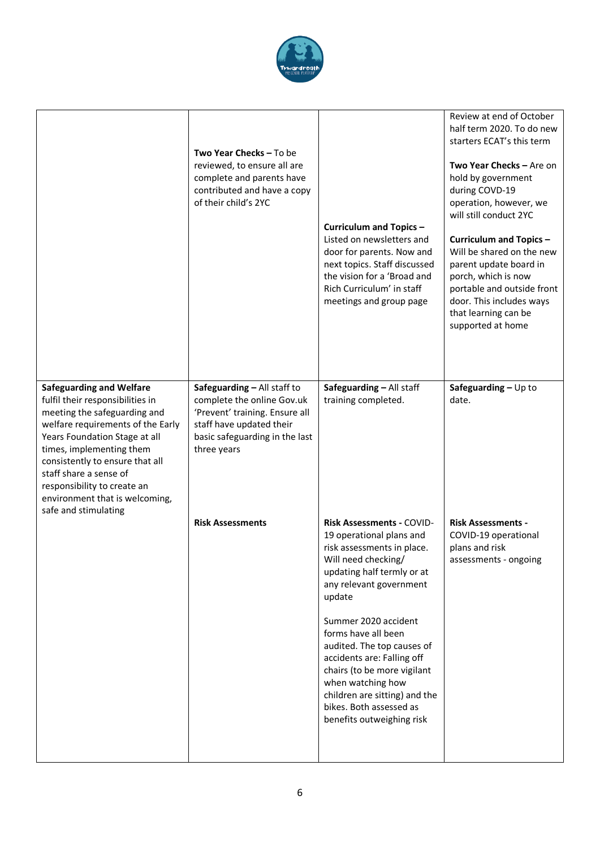

|                                                                                                                                                                                                                                                                                                                                     | <b>Two Year Checks - To be</b><br>reviewed, to ensure all are<br>complete and parents have<br>contributed and have a copy<br>of their child's 2YC                        | <b>Curriculum and Topics -</b><br>Listed on newsletters and<br>door for parents. Now and<br>next topics. Staff discussed<br>the vision for a 'Broad and<br>Rich Curriculum' in staff<br>meetings and group page                                                                                                                                                                                                                              | Review at end of October<br>half term 2020. To do new<br>starters ECAT's this term<br>Two Year Checks - Are on<br>hold by government<br>during COVD-19<br>operation, however, we<br>will still conduct 2YC<br>Curriculum and Topics -<br>Will be shared on the new<br>parent update board in<br>porch, which is now<br>portable and outside front<br>door. This includes ways<br>that learning can be<br>supported at home |
|-------------------------------------------------------------------------------------------------------------------------------------------------------------------------------------------------------------------------------------------------------------------------------------------------------------------------------------|--------------------------------------------------------------------------------------------------------------------------------------------------------------------------|----------------------------------------------------------------------------------------------------------------------------------------------------------------------------------------------------------------------------------------------------------------------------------------------------------------------------------------------------------------------------------------------------------------------------------------------|----------------------------------------------------------------------------------------------------------------------------------------------------------------------------------------------------------------------------------------------------------------------------------------------------------------------------------------------------------------------------------------------------------------------------|
| <b>Safeguarding and Welfare</b><br>fulfil their responsibilities in<br>meeting the safeguarding and<br>welfare requirements of the Early<br>Years Foundation Stage at all<br>times, implementing them<br>consistently to ensure that all<br>staff share a sense of<br>responsibility to create an<br>environment that is welcoming, | Safeguarding - All staff to<br>complete the online Gov.uk<br>'Prevent' training. Ensure all<br>staff have updated their<br>basic safeguarding in the last<br>three years | Safeguarding - All staff<br>training completed.                                                                                                                                                                                                                                                                                                                                                                                              | Safeguarding $-$ Up to<br>date.                                                                                                                                                                                                                                                                                                                                                                                            |
| safe and stimulating                                                                                                                                                                                                                                                                                                                | <b>Risk Assessments</b>                                                                                                                                                  | <b>Risk Assessments - COVID-</b><br>19 operational plans and<br>risk assessments in place.<br>Will need checking/<br>updating half termly or at<br>any relevant government<br>update<br>Summer 2020 accident<br>forms have all been<br>audited. The top causes of<br>accidents are: Falling off<br>chairs (to be more vigilant<br>when watching how<br>children are sitting) and the<br>bikes. Both assessed as<br>benefits outweighing risk | <b>Risk Assessments -</b><br>COVID-19 operational<br>plans and risk<br>assessments - ongoing                                                                                                                                                                                                                                                                                                                               |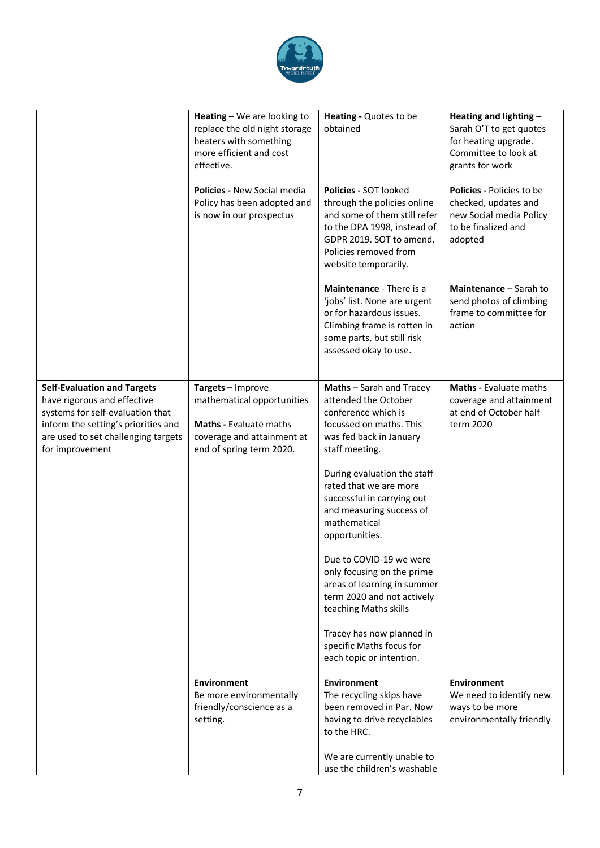

|                                                                                                                                                                                                        | Heating - We are looking to<br>replace the old night storage<br>heaters with something<br>more efficient and cost<br>effective.            | Heating - Quotes to be<br>obtained                                                                                                                                                               | Heating and lighting -<br>Sarah O'T to get quotes<br>for heating upgrade.<br>Committee to look at<br>grants for work  |
|--------------------------------------------------------------------------------------------------------------------------------------------------------------------------------------------------------|--------------------------------------------------------------------------------------------------------------------------------------------|--------------------------------------------------------------------------------------------------------------------------------------------------------------------------------------------------|-----------------------------------------------------------------------------------------------------------------------|
|                                                                                                                                                                                                        | <b>Policies - New Social media</b><br>Policy has been adopted and<br>is now in our prospectus                                              | Policies - SOT looked<br>through the policies online<br>and some of them still refer<br>to the DPA 1998, instead of<br>GDPR 2019. SOT to amend.<br>Policies removed from<br>website temporarily. | <b>Policies - Policies to be</b><br>checked, updates and<br>new Social media Policy<br>to be finalized and<br>adopted |
|                                                                                                                                                                                                        |                                                                                                                                            | Maintenance - There is a<br>'jobs' list. None are urgent<br>or for hazardous issues.<br>Climbing frame is rotten in<br>some parts, but still risk<br>assessed okay to use.                       | Maintenance - Sarah to<br>send photos of climbing<br>frame to committee for<br>action                                 |
| <b>Self-Evaluation and Targets</b><br>have rigorous and effective<br>systems for self-evaluation that<br>inform the setting's priorities and<br>are used to set challenging targets<br>for improvement | Targets - Improve<br>mathematical opportunities<br><b>Maths - Evaluate maths</b><br>coverage and attainment at<br>end of spring term 2020. | Maths - Sarah and Tracey<br>attended the October<br>conference which is<br>focussed on maths. This<br>was fed back in January<br>staff meeting.                                                  | <b>Maths - Evaluate maths</b><br>coverage and attainment<br>at end of October half<br>term 2020                       |
|                                                                                                                                                                                                        |                                                                                                                                            | During evaluation the staff<br>rated that we are more<br>successful in carrying out<br>and measuring success of<br>mathematical<br>opportunities.                                                |                                                                                                                       |
|                                                                                                                                                                                                        |                                                                                                                                            | Due to COVID-19 we were<br>only focusing on the prime<br>areas of learning in summer<br>term 2020 and not actively<br>teaching Maths skills                                                      |                                                                                                                       |
|                                                                                                                                                                                                        |                                                                                                                                            | Tracey has now planned in<br>specific Maths focus for<br>each topic or intention.                                                                                                                |                                                                                                                       |
|                                                                                                                                                                                                        | <b>Environment</b><br>Be more environmentally<br>friendly/conscience as a<br>setting.                                                      | <b>Environment</b><br>The recycling skips have<br>been removed in Par. Now<br>having to drive recyclables<br>to the HRC.                                                                         | <b>Environment</b><br>We need to identify new<br>ways to be more<br>environmentally friendly                          |
|                                                                                                                                                                                                        |                                                                                                                                            | We are currently unable to<br>use the children's washable                                                                                                                                        |                                                                                                                       |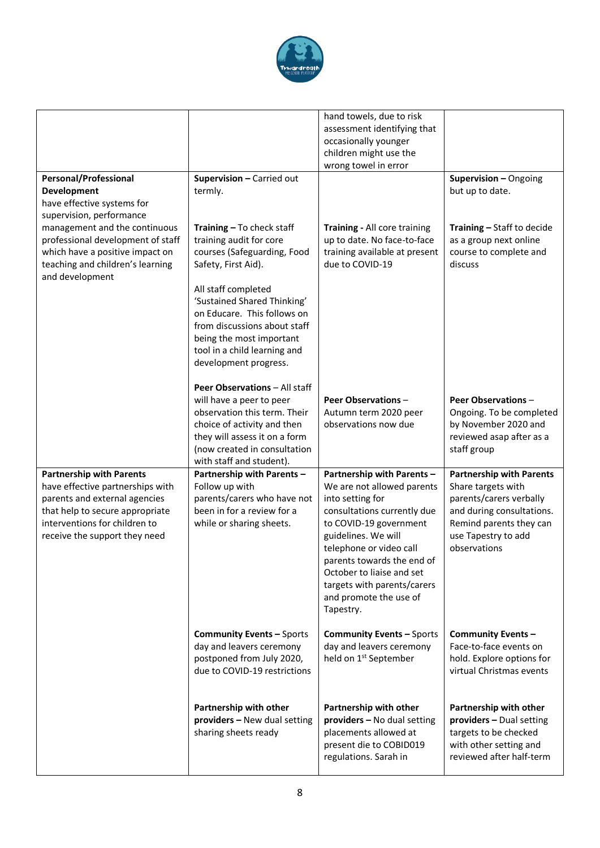

|                                                                                                                                                                                                           |                                                                                                                                                                                                                       | hand towels, due to risk<br>assessment identifying that<br>occasionally younger<br>children might use the<br>wrong towel in error                                                                                                                                                                                        |                                                                                                                                                                                 |
|-----------------------------------------------------------------------------------------------------------------------------------------------------------------------------------------------------------|-----------------------------------------------------------------------------------------------------------------------------------------------------------------------------------------------------------------------|--------------------------------------------------------------------------------------------------------------------------------------------------------------------------------------------------------------------------------------------------------------------------------------------------------------------------|---------------------------------------------------------------------------------------------------------------------------------------------------------------------------------|
| <b>Personal/Professional</b><br><b>Development</b><br>have effective systems for<br>supervision, performance                                                                                              | Supervision - Carried out<br>termly.                                                                                                                                                                                  |                                                                                                                                                                                                                                                                                                                          | Supervision - Ongoing<br>but up to date.                                                                                                                                        |
| management and the continuous<br>professional development of staff<br>which have a positive impact on<br>teaching and children's learning<br>and development                                              | Training - To check staff<br>training audit for core<br>courses (Safeguarding, Food<br>Safety, First Aid).                                                                                                            | Training - All core training<br>up to date. No face-to-face<br>training available at present<br>due to COVID-19                                                                                                                                                                                                          | Training - Staff to decide<br>as a group next online<br>course to complete and<br>discuss                                                                                       |
|                                                                                                                                                                                                           | All staff completed<br>'Sustained Shared Thinking'<br>on Educare. This follows on<br>from discussions about staff<br>being the most important<br>tool in a child learning and<br>development progress.                |                                                                                                                                                                                                                                                                                                                          |                                                                                                                                                                                 |
|                                                                                                                                                                                                           | Peer Observations - All staff<br>will have a peer to peer<br>observation this term. Their<br>choice of activity and then<br>they will assess it on a form<br>(now created in consultation<br>with staff and student). | <b>Peer Observations -</b><br>Autumn term 2020 peer<br>observations now due                                                                                                                                                                                                                                              | <b>Peer Observations -</b><br>Ongoing. To be completed<br>by November 2020 and<br>reviewed asap after as a<br>staff group                                                       |
| <b>Partnership with Parents</b><br>have effective partnerships with<br>parents and external agencies<br>that help to secure appropriate<br>interventions for children to<br>receive the support they need | Partnership with Parents -<br>Follow up with<br>parents/carers who have not<br>been in for a review for a<br>while or sharing sheets.                                                                                 | Partnership with Parents -<br>We are not allowed parents<br>into setting for<br>consultations currently due<br>to COVID-19 government<br>guidelines. We will<br>telephone or video call<br>parents towards the end of<br>October to liaise and set<br>targets with parents/carers<br>and promote the use of<br>Tapestry. | <b>Partnership with Parents</b><br>Share targets with<br>parents/carers verbally<br>and during consultations.<br>Remind parents they can<br>use Tapestry to add<br>observations |
|                                                                                                                                                                                                           | <b>Community Events - Sports</b><br>day and leavers ceremony<br>postponed from July 2020,<br>due to COVID-19 restrictions                                                                                             | <b>Community Events - Sports</b><br>day and leavers ceremony<br>held on 1 <sup>st</sup> September                                                                                                                                                                                                                        | Community Events -<br>Face-to-face events on<br>hold. Explore options for<br>virtual Christmas events                                                                           |
|                                                                                                                                                                                                           | Partnership with other<br>providers - New dual setting<br>sharing sheets ready                                                                                                                                        | Partnership with other<br>providers - No dual setting<br>placements allowed at<br>present die to COBID019<br>regulations. Sarah in                                                                                                                                                                                       | Partnership with other<br>providers - Dual setting<br>targets to be checked<br>with other setting and<br>reviewed after half-term                                               |